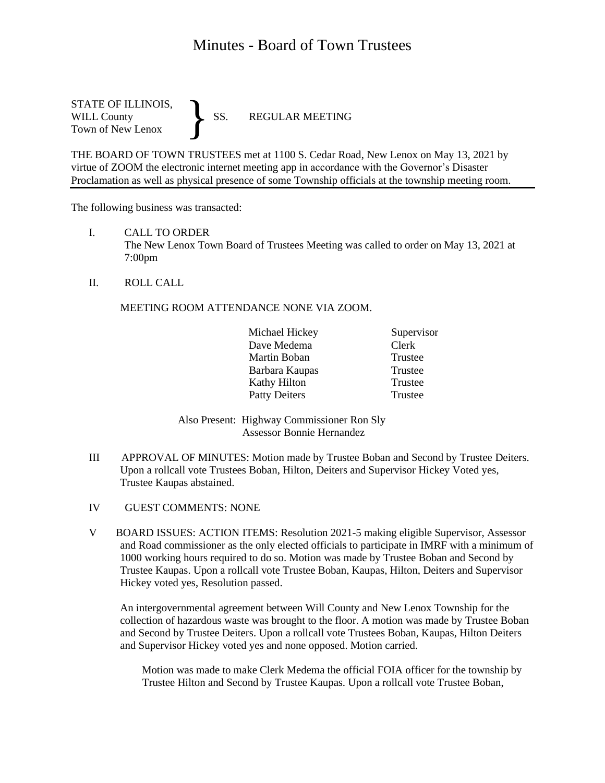# Minutes - Board of Town Trustees

STATE OF ILLINOIS,<br>WILL County SS. WILL County SS. REGULAR MEETING Town of New Lenox }

THE BOARD OF TOWN TRUSTEES met at 1100 S. Cedar Road, New Lenox on May 13, 2021 by virtue of ZOOM the electronic internet meeting app in accordance with the Governor's Disaster Proclamation as well as physical presence of some Township officials at the township meeting room.

The following business was transacted:

- I. CALL TO ORDER The New Lenox Town Board of Trustees Meeting was called to order on May 13, 2021 at 7:00pm
- II. ROLL CALL

### MEETING ROOM ATTENDANCE NONE VIA ZOOM.

|  | Michael Hickey       | Supervisor |
|--|----------------------|------------|
|  | Dave Medema          | Clerk      |
|  | Martin Boban         | Trustee    |
|  | Barbara Kaupas       | Trustee    |
|  | Kathy Hilton         | Trustee    |
|  | <b>Patty Deiters</b> | Trustee    |

Also Present: Highway Commissioner Ron Sly Assessor Bonnie Hernandez

- III APPROVAL OF MINUTES: Motion made by Trustee Boban and Second by Trustee Deiters. Upon a rollcall vote Trustees Boban, Hilton, Deiters and Supervisor Hickey Voted yes, Trustee Kaupas abstained.
- IV GUEST COMMENTS: NONE
- V BOARD ISSUES: ACTION ITEMS: Resolution 2021-5 making eligible Supervisor, Assessor and Road commissioner as the only elected officials to participate in IMRF with a minimum of 1000 working hours required to do so. Motion was made by Trustee Boban and Second by Trustee Kaupas. Upon a rollcall vote Trustee Boban, Kaupas, Hilton, Deiters and Supervisor Hickey voted yes, Resolution passed.

An intergovernmental agreement between Will County and New Lenox Township for the collection of hazardous waste was brought to the floor. A motion was made by Trustee Boban and Second by Trustee Deiters. Upon a rollcall vote Trustees Boban, Kaupas, Hilton Deiters and Supervisor Hickey voted yes and none opposed. Motion carried.

 Motion was made to make Clerk Medema the official FOIA officer for the township by Trustee Hilton and Second by Trustee Kaupas. Upon a rollcall vote Trustee Boban,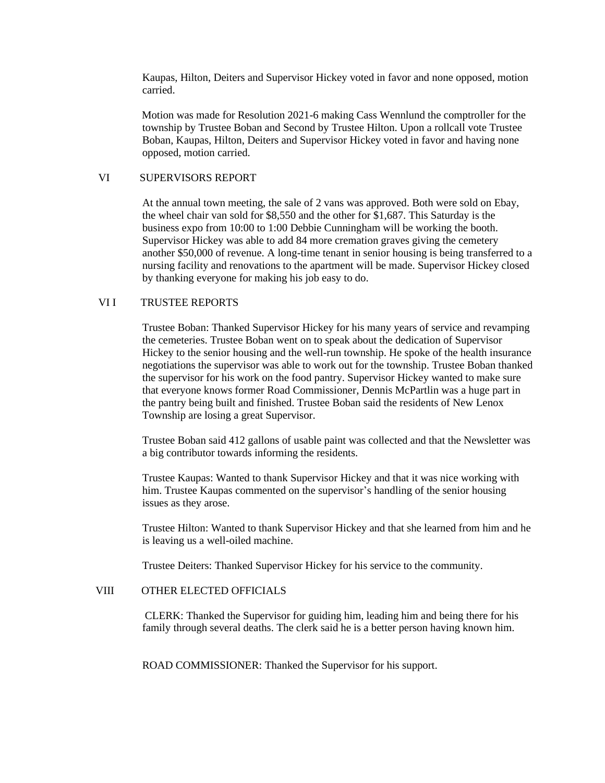Kaupas, Hilton, Deiters and Supervisor Hickey voted in favor and none opposed, motion carried.

 Motion was made for Resolution 2021-6 making Cass Wennlund the comptroller for the township by Trustee Boban and Second by Trustee Hilton. Upon a rollcall vote Trustee Boban, Kaupas, Hilton, Deiters and Supervisor Hickey voted in favor and having none opposed, motion carried.

### VI SUPERVISORS REPORT

At the annual town meeting, the sale of 2 vans was approved. Both were sold on Ebay, the wheel chair van sold for \$8,550 and the other for \$1,687. This Saturday is the business expo from 10:00 to 1:00 Debbie Cunningham will be working the booth. Supervisor Hickey was able to add 84 more cremation graves giving the cemetery another \$50,000 of revenue. A long-time tenant in senior housing is being transferred to a nursing facility and renovations to the apartment will be made. Supervisor Hickey closed by thanking everyone for making his job easy to do.

### VI I TRUSTEE REPORTS

Trustee Boban: Thanked Supervisor Hickey for his many years of service and revamping the cemeteries. Trustee Boban went on to speak about the dedication of Supervisor Hickey to the senior housing and the well-run township. He spoke of the health insurance negotiations the supervisor was able to work out for the township. Trustee Boban thanked the supervisor for his work on the food pantry. Supervisor Hickey wanted to make sure that everyone knows former Road Commissioner, Dennis McPartlin was a huge part in the pantry being built and finished. Trustee Boban said the residents of New Lenox Township are losing a great Supervisor.

Trustee Boban said 412 gallons of usable paint was collected and that the Newsletter was a big contributor towards informing the residents.

Trustee Kaupas: Wanted to thank Supervisor Hickey and that it was nice working with him. Trustee Kaupas commented on the supervisor's handling of the senior housing issues as they arose.

Trustee Hilton: Wanted to thank Supervisor Hickey and that she learned from him and he is leaving us a well-oiled machine.

Trustee Deiters: Thanked Supervisor Hickey for his service to the community.

## VIII OTHER ELECTED OFFICIALS

CLERK: Thanked the Supervisor for guiding him, leading him and being there for his family through several deaths. The clerk said he is a better person having known him.

ROAD COMMISSIONER: Thanked the Supervisor for his support.